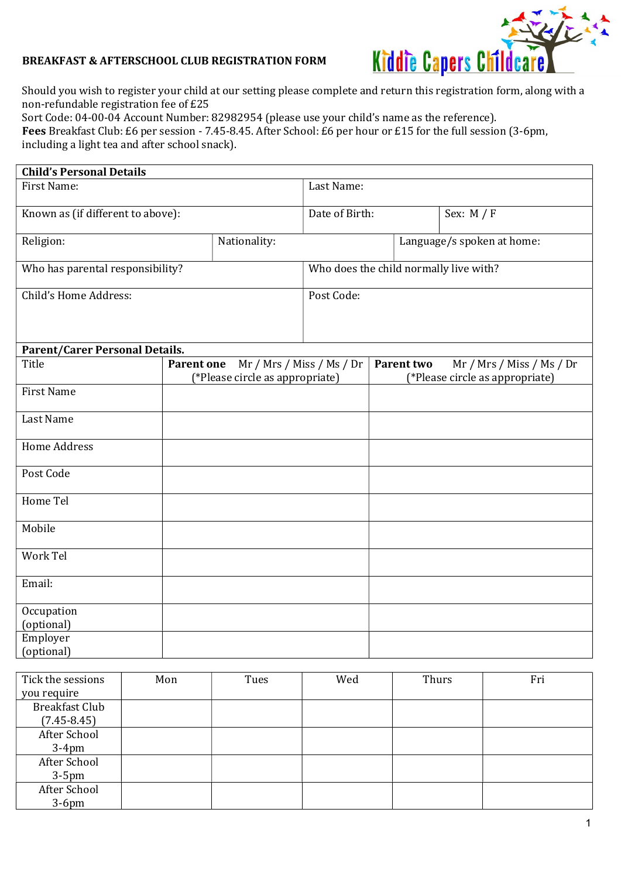

Should you wish to register your child at our setting please complete and return this registration form, along with a non-refundable registration fee of £25

Sort Code: 04-00-04 Account Number: 82982954 (please use your child's name as the reference). Fees Breakfast Club: £6 per session - 7.45-8.45. After School: £6 per hour or £15 for the full session (3-6pm, including a light tea and after school snack).

| <b>Child's Personal Details</b>       |                                                                                   |                |                                                                            |  |              |  |
|---------------------------------------|-----------------------------------------------------------------------------------|----------------|----------------------------------------------------------------------------|--|--------------|--|
| <b>First Name:</b>                    |                                                                                   | Last Name:     |                                                                            |  |              |  |
| Known as (if different to above):     |                                                                                   | Date of Birth: |                                                                            |  | Sex: $M / F$ |  |
| Religion:                             |                                                                                   | Nationality:   | Language/s spoken at home:                                                 |  |              |  |
| Who has parental responsibility?      |                                                                                   |                | Who does the child normally live with?                                     |  |              |  |
| Child's Home Address:                 |                                                                                   |                | Post Code:                                                                 |  |              |  |
| <b>Parent/Carer Personal Details.</b> |                                                                                   |                |                                                                            |  |              |  |
| Title                                 | Mr / Mrs / Miss / Ms / Dr<br><b>Parent one</b><br>(*Please circle as appropriate) |                | Mr / Mrs / Miss / Ms / Dr<br>Parent two<br>(*Please circle as appropriate) |  |              |  |
| <b>First Name</b>                     |                                                                                   |                |                                                                            |  |              |  |
| Last Name                             |                                                                                   |                |                                                                            |  |              |  |
| <b>Home Address</b>                   |                                                                                   |                |                                                                            |  |              |  |
| Post Code                             |                                                                                   |                |                                                                            |  |              |  |
| Home Tel                              |                                                                                   |                |                                                                            |  |              |  |
| Mobile                                |                                                                                   |                |                                                                            |  |              |  |
| Work Tel                              |                                                                                   |                |                                                                            |  |              |  |
| Email:                                |                                                                                   |                |                                                                            |  |              |  |
| Occupation<br>(optional)              |                                                                                   |                |                                                                            |  |              |  |
| Employer<br>(optional)                |                                                                                   |                |                                                                            |  |              |  |

| Tick the sessions     | Mon | Tues | Wed | Thurs | Fri |
|-----------------------|-----|------|-----|-------|-----|
| you require           |     |      |     |       |     |
| <b>Breakfast Club</b> |     |      |     |       |     |
| $(7.45 - 8.45)$       |     |      |     |       |     |
| After School          |     |      |     |       |     |
| $3-4$ pm              |     |      |     |       |     |
| After School          |     |      |     |       |     |
| $3-5$ pm              |     |      |     |       |     |
| After School          |     |      |     |       |     |
| $3-6$ pm              |     |      |     |       |     |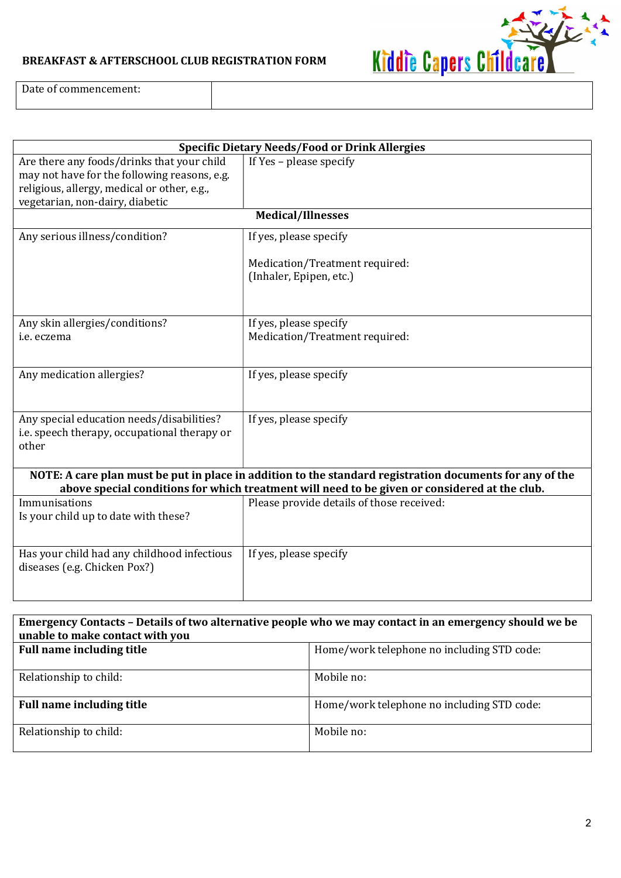

Date of commencement:

| <b>Specific Dietary Needs/Food or Drink Allergies</b>                                                                                                                                                     |                                                           |  |  |  |
|-----------------------------------------------------------------------------------------------------------------------------------------------------------------------------------------------------------|-----------------------------------------------------------|--|--|--|
| Are there any foods/drinks that your child<br>may not have for the following reasons, e.g.<br>religious, allergy, medical or other, e.g.,<br>vegetarian, non-dairy, diabetic                              | If Yes - please specify                                   |  |  |  |
|                                                                                                                                                                                                           | <b>Medical/Illnesses</b>                                  |  |  |  |
| Any serious illness/condition?                                                                                                                                                                            | If yes, please specify                                    |  |  |  |
|                                                                                                                                                                                                           | Medication/Treatment required:<br>(Inhaler, Epipen, etc.) |  |  |  |
| Any skin allergies/conditions?                                                                                                                                                                            | If yes, please specify                                    |  |  |  |
| i.e. eczema                                                                                                                                                                                               | Medication/Treatment required:                            |  |  |  |
| Any medication allergies?                                                                                                                                                                                 | If yes, please specify                                    |  |  |  |
| Any special education needs/disabilities?<br>i.e. speech therapy, occupational therapy or<br>other                                                                                                        | If yes, please specify                                    |  |  |  |
| NOTE: A care plan must be put in place in addition to the standard registration documents for any of the<br>above special conditions for which treatment will need to be given or considered at the club. |                                                           |  |  |  |
| Immunisations<br>Is your child up to date with these?                                                                                                                                                     | Please provide details of those received:                 |  |  |  |
| Has your child had any childhood infectious<br>diseases (e.g. Chicken Pox?)                                                                                                                               | If yes, please specify                                    |  |  |  |

| Emergency Contacts - Details of two alternative people who we may contact in an emergency should we be |                                            |  |  |  |
|--------------------------------------------------------------------------------------------------------|--------------------------------------------|--|--|--|
| unable to make contact with you                                                                        |                                            |  |  |  |
| <b>Full name including title</b>                                                                       | Home/work telephone no including STD code: |  |  |  |
| Relationship to child:                                                                                 | Mobile no:                                 |  |  |  |
| <b>Full name including title</b>                                                                       | Home/work telephone no including STD code: |  |  |  |
| Relationship to child:                                                                                 | Mobile no:                                 |  |  |  |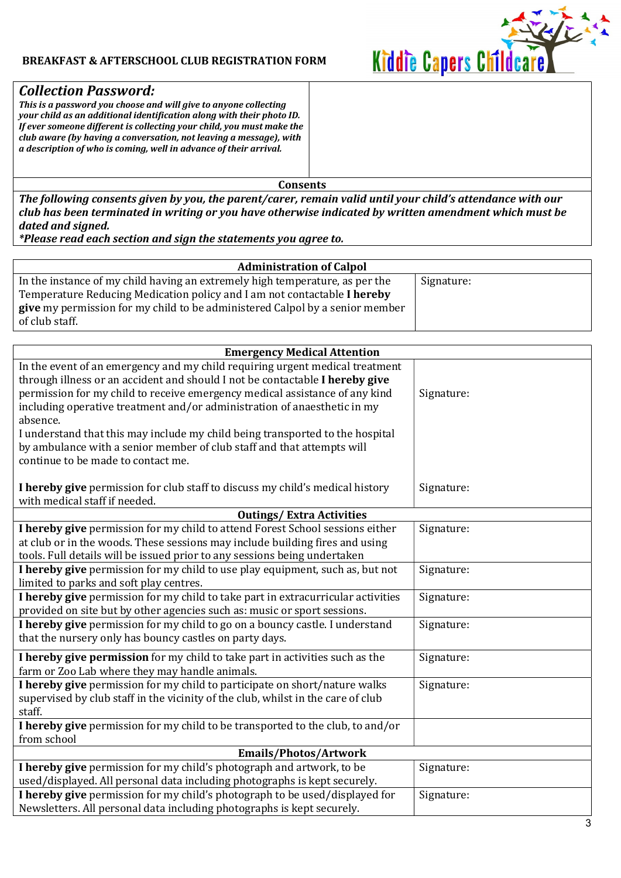

# Collection Password:

This is a password you choose and will give to anyone collecting your child as an additional identification along with their photo ID. If ever someone different is collecting your child, you must make the club aware (by having a conversation, not leaving a message), with a description of who is coming, well in advance of their arrival.

Consents

The following consents given by you, the parent/carer, remain valid until your child's attendance with our club has been terminated in writing or you have otherwise indicated by written amendment which must be dated and signed.

\*Please read each section and sign the statements you agree to.

| <b>Administration of Calpol</b>                                                     |            |  |  |
|-------------------------------------------------------------------------------------|------------|--|--|
| In the instance of my child having an extremely high temperature, as per the        | Signature: |  |  |
| Temperature Reducing Medication policy and I am not contactable I hereby            |            |  |  |
| <b>give</b> my permission for my child to be administered Calpol by a senior member |            |  |  |
| of club staff.                                                                      |            |  |  |

| <b>Emergency Medical Attention</b>                                                                                                                                                                                                                                                                                                                                                                                                                                                                                                   |            |  |  |  |
|--------------------------------------------------------------------------------------------------------------------------------------------------------------------------------------------------------------------------------------------------------------------------------------------------------------------------------------------------------------------------------------------------------------------------------------------------------------------------------------------------------------------------------------|------------|--|--|--|
| In the event of an emergency and my child requiring urgent medical treatment<br>through illness or an accident and should I not be contactable I hereby give<br>permission for my child to receive emergency medical assistance of any kind<br>including operative treatment and/or administration of anaesthetic in my<br>absence.<br>I understand that this may include my child being transported to the hospital<br>by ambulance with a senior member of club staff and that attempts will<br>continue to be made to contact me. | Signature: |  |  |  |
| I hereby give permission for club staff to discuss my child's medical history<br>with medical staff if needed.                                                                                                                                                                                                                                                                                                                                                                                                                       | Signature: |  |  |  |
| <b>Outings/Extra Activities</b>                                                                                                                                                                                                                                                                                                                                                                                                                                                                                                      |            |  |  |  |
| I hereby give permission for my child to attend Forest School sessions either<br>at club or in the woods. These sessions may include building fires and using<br>tools. Full details will be issued prior to any sessions being undertaken                                                                                                                                                                                                                                                                                           | Signature: |  |  |  |
| I hereby give permission for my child to use play equipment, such as, but not<br>limited to parks and soft play centres.                                                                                                                                                                                                                                                                                                                                                                                                             | Signature: |  |  |  |
| I hereby give permission for my child to take part in extracurricular activities<br>provided on site but by other agencies such as: music or sport sessions.                                                                                                                                                                                                                                                                                                                                                                         | Signature: |  |  |  |
| I hereby give permission for my child to go on a bouncy castle. I understand<br>that the nursery only has bouncy castles on party days.                                                                                                                                                                                                                                                                                                                                                                                              | Signature: |  |  |  |
| I hereby give permission for my child to take part in activities such as the<br>farm or Zoo Lab where they may handle animals.                                                                                                                                                                                                                                                                                                                                                                                                       | Signature: |  |  |  |
| I hereby give permission for my child to participate on short/nature walks<br>supervised by club staff in the vicinity of the club, whilst in the care of club<br>staff.                                                                                                                                                                                                                                                                                                                                                             | Signature: |  |  |  |
| I hereby give permission for my child to be transported to the club, to and/or<br>from school                                                                                                                                                                                                                                                                                                                                                                                                                                        |            |  |  |  |
| Emails/Photos/Artwork                                                                                                                                                                                                                                                                                                                                                                                                                                                                                                                |            |  |  |  |
| I hereby give permission for my child's photograph and artwork, to be<br>used/displayed. All personal data including photographs is kept securely.                                                                                                                                                                                                                                                                                                                                                                                   | Signature: |  |  |  |
| I hereby give permission for my child's photograph to be used/displayed for<br>Newsletters. All personal data including photographs is kept securely.                                                                                                                                                                                                                                                                                                                                                                                | Signature: |  |  |  |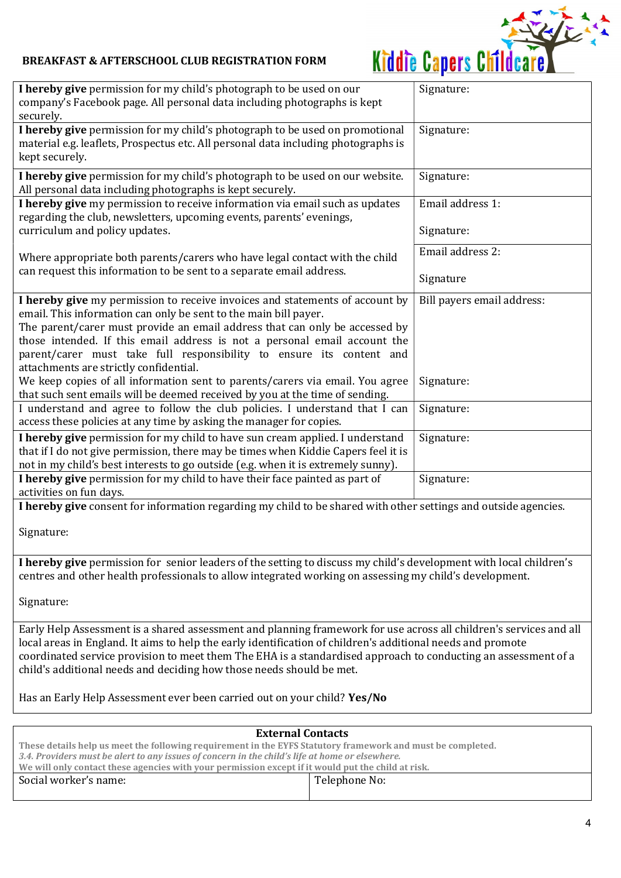

| Signature:                                                                                                                                                                                                                    |
|-------------------------------------------------------------------------------------------------------------------------------------------------------------------------------------------------------------------------------|
| Signature:                                                                                                                                                                                                                    |
| Signature:                                                                                                                                                                                                                    |
| Email address 1:                                                                                                                                                                                                              |
| Signature:                                                                                                                                                                                                                    |
| Email address 2:                                                                                                                                                                                                              |
| Signature                                                                                                                                                                                                                     |
| Bill payers email address:                                                                                                                                                                                                    |
| Signature:                                                                                                                                                                                                                    |
| Signature:                                                                                                                                                                                                                    |
| Signature:                                                                                                                                                                                                                    |
| Signature:                                                                                                                                                                                                                    |
| I hereby give consent for information regarding my child to be shared with other settings and outside agencies.                                                                                                               |
|                                                                                                                                                                                                                               |
| I hereby give permission for senior leaders of the setting to discuss my child's development with local children's<br>centres and other health professionals to allow integrated working on assessing my child's development. |
|                                                                                                                                                                                                                               |
|                                                                                                                                                                                                                               |

Early Help Assessment is a shared assessment and planning framework for use across all children's services and all local areas in England. It aims to help the early identification of children's additional needs and promote coordinated service provision to meet them The EHA is a standardised approach to conducting an assessment of a child's additional needs and deciding how those needs should be met.

Has an Early Help Assessment ever been carried out on your child? Yes/No

| <b>External Contacts</b>                                                                                    |               |  |  |
|-------------------------------------------------------------------------------------------------------------|---------------|--|--|
| These details help us meet the following requirement in the EYFS Statutory framework and must be completed. |               |  |  |
| 3.4. Providers must be alert to any issues of concern in the child's life at home or elsewhere.             |               |  |  |
| We will only contact these agencies with your permission except if it would put the child at risk.          |               |  |  |
| Social worker's name:                                                                                       | Telephone No: |  |  |
|                                                                                                             |               |  |  |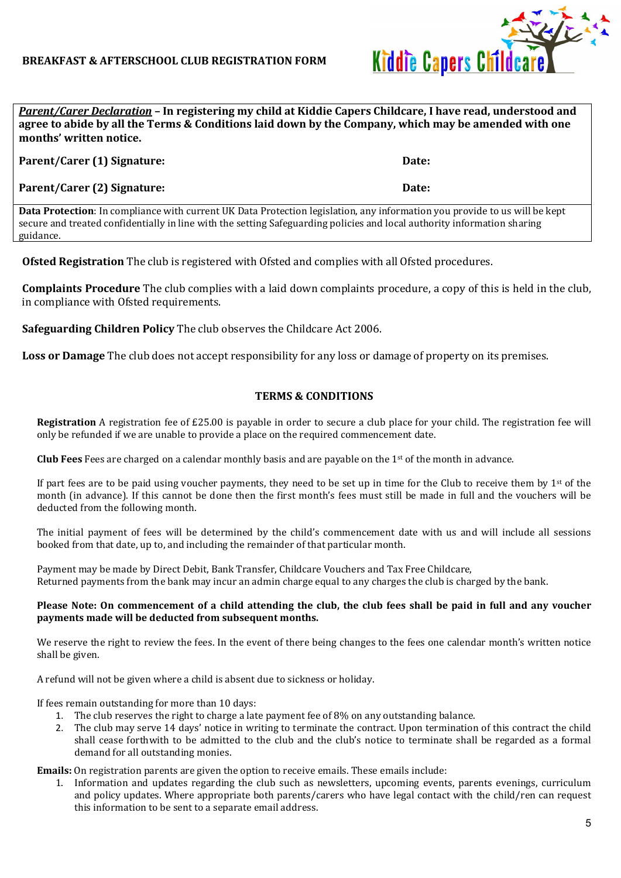

Parent/Carer Declaration - In registering my child at Kiddie Capers Childcare, I have read, understood and agree to abide by all the Terms & Conditions laid down by the Company, which may be amended with one months' written notice.

| Parent/Carer (1) Signature:                                                                                                                                                                                                                                                                                                                                                                           | Date: |  |
|-------------------------------------------------------------------------------------------------------------------------------------------------------------------------------------------------------------------------------------------------------------------------------------------------------------------------------------------------------------------------------------------------------|-------|--|
| Parent/Carer (2) Signature:                                                                                                                                                                                                                                                                                                                                                                           | Date: |  |
| $\mathbf{D}_{\text{eff}}$ , $\mathbf{D}_{\text{eff}}$ , $\mathbf{D}_{\text{eff}}$ , $\mathbf{D}_{\text{eff}}$ , $\mathbf{D}_{\text{eff}}$ , $\mathbf{D}_{\text{eff}}$ , $\mathbf{D}_{\text{eff}}$ , $\mathbf{D}_{\text{eff}}$ , $\mathbf{D}_{\text{eff}}$ , $\mathbf{D}_{\text{eff}}$ , $\mathbf{D}_{\text{eff}}$ , $\mathbf{D}_{\text{eff}}$ , $\mathbf{D}_{\text{eff}}$ , $\mathbf{D}_{\text{eff}}$ |       |  |

Data Protection: In compliance with current UK Data Protection legislation, any information you provide to us will be kept secure and treated confidentially in line with the setting Safeguarding policies and local authority information sharing guidance.

Ofsted Registration The club is registered with Ofsted and complies with all Ofsted procedures.

Complaints Procedure The club complies with a laid down complaints procedure, a copy of this is held in the club, in compliance with Ofsted requirements.

Safeguarding Children Policy The club observes the Childcare Act 2006.

Loss or Damage The club does not accept responsibility for any loss or damage of property on its premises.

### TERMS & CONDITIONS

Registration A registration fee of £25.00 is payable in order to secure a club place for your child. The registration fee will only be refunded if we are unable to provide a place on the required commencement date.

**Club Fees** Fees are charged on a calendar monthly basis and are payable on the  $1<sup>st</sup>$  of the month in advance.

If part fees are to be paid using voucher payments, they need to be set up in time for the Club to receive them by  $1<sup>st</sup>$  of the month (in advance). If this cannot be done then the first month's fees must still be made in full and the vouchers will be deducted from the following month.

The initial payment of fees will be determined by the child's commencement date with us and will include all sessions booked from that date, up to, and including the remainder of that particular month.

Payment may be made by Direct Debit, Bank Transfer, Childcare Vouchers and Tax Free Childcare, Returned payments from the bank may incur an admin charge equal to any charges the club is charged by the bank.

#### Please Note: On commencement of a child attending the club, the club fees shall be paid in full and any voucher payments made will be deducted from subsequent months.

We reserve the right to review the fees. In the event of there being changes to the fees one calendar month's written notice shall be given.

A refund will not be given where a child is absent due to sickness or holiday.

If fees remain outstanding for more than 10 days:

- 1. The club reserves the right to charge a late payment fee of 8% on any outstanding balance.
- 2. The club may serve 14 days' notice in writing to terminate the contract. Upon termination of this contract the child shall cease forthwith to be admitted to the club and the club's notice to terminate shall be regarded as a formal demand for all outstanding monies.

Emails: On registration parents are given the option to receive emails. These emails include:

1. Information and updates regarding the club such as newsletters, upcoming events, parents evenings, curriculum and policy updates. Where appropriate both parents/carers who have legal contact with the child/ren can request this information to be sent to a separate email address.